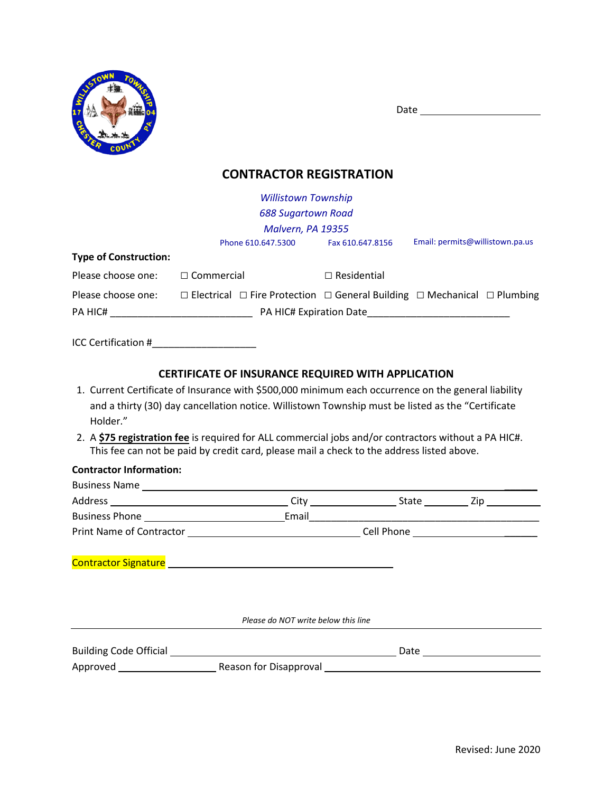

Date

# **CONTRACTOR REGISTRATION**

|                              | <b>Willistown Township</b>                                                                         |                    |                                 |
|------------------------------|----------------------------------------------------------------------------------------------------|--------------------|---------------------------------|
|                              | <b>688 Sugartown Road</b>                                                                          |                    |                                 |
|                              | Malvern, PA 19355                                                                                  |                    |                                 |
|                              | Phone 610.647.5300                                                                                 | Fax 610.647.8156   | Email: permits@willistown.pa.us |
| <b>Type of Construction:</b> |                                                                                                    |                    |                                 |
| Please choose one:           | $\Box$ Commercial                                                                                  | $\Box$ Residential |                                 |
| Please choose one:           | $\Box$ Electrical $\Box$ Fire Protection $\Box$ General Building $\Box$ Mechanical $\Box$ Plumbing |                    |                                 |
| PA HIC#                      | PA HIC# Expiration Date                                                                            |                    |                                 |
| ICC Certification #          |                                                                                                    |                    |                                 |

## **CERTIFICATE OF INSURANCE REQUIRED WITH APPLICATION**

- 1. Current Certificate of Insurance with \$500,000 minimum each occurrence on the general liability and a thirty (30) day cancellation notice. Willistown Township must be listed as the "Certificate Holder."
- 2. A **\$75 registration fee** is required for ALL commercial jobs and/or contractors without a PA HIC#. This fee can not be paid by credit card, please mail a check to the address listed above.

### **Contractor Information:**

| <b>Business Name</b><br>Address<br><u> 1980 - Jan Stein Harry Harry Harry Harry Harry Harry Harry Harry Harry Harry Harry Harry Harry Harry Harry H</u> | Citv  | State | Zip |
|---------------------------------------------------------------------------------------------------------------------------------------------------------|-------|-------|-----|
|                                                                                                                                                         | Email |       |     |
| <b>Print Name of Contractor</b>                                                                                                                         |       |       |     |
|                                                                                                                                                         |       |       |     |
| <b>Contractor Signature</b>                                                                                                                             |       |       |     |

*Please do NOT write below this line*

| <b>Building Code Official</b> |                        | Date |  |
|-------------------------------|------------------------|------|--|
| Approved                      | Reason for Disapproval |      |  |